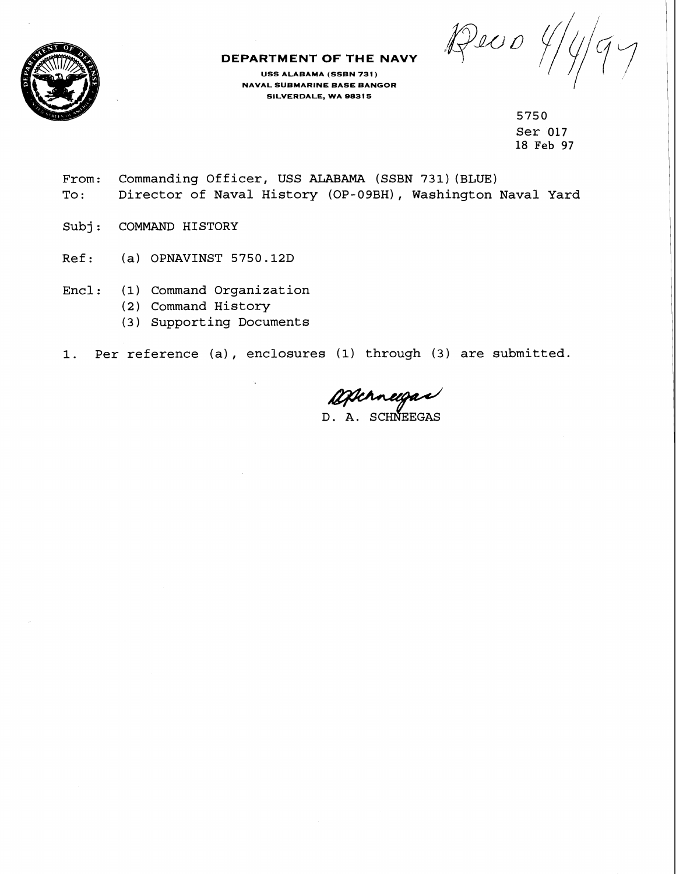Deco



## **DEPARTMENT OF THE NAVY**

**USS ALABAMA (SSBN 731** ) **NAVAL SUBMARINE BASE BANGOR SILVERDALE, WA 98315** 

> **5750 Ser 017 18 Feb 97**

- **From: Commanding Officer, USS ALABAMA (SSBN 731) (BLUE) To** : **Director of Naval History (OP-09BH), Washington Naval Yard**
- Subj: **COMMAND HISTORY**
- **Ref: (a) OPNAVINST 5750.12D** <sup>I</sup>
- **Encl** : ( **<sup>1</sup>**) **Command Organization** 
	- **(2) Command History**
	- **(3) Supporting Documents**
- **1. Per reference (a)** , **enclosures (1) through (3) are submitted.**

Ofterneigas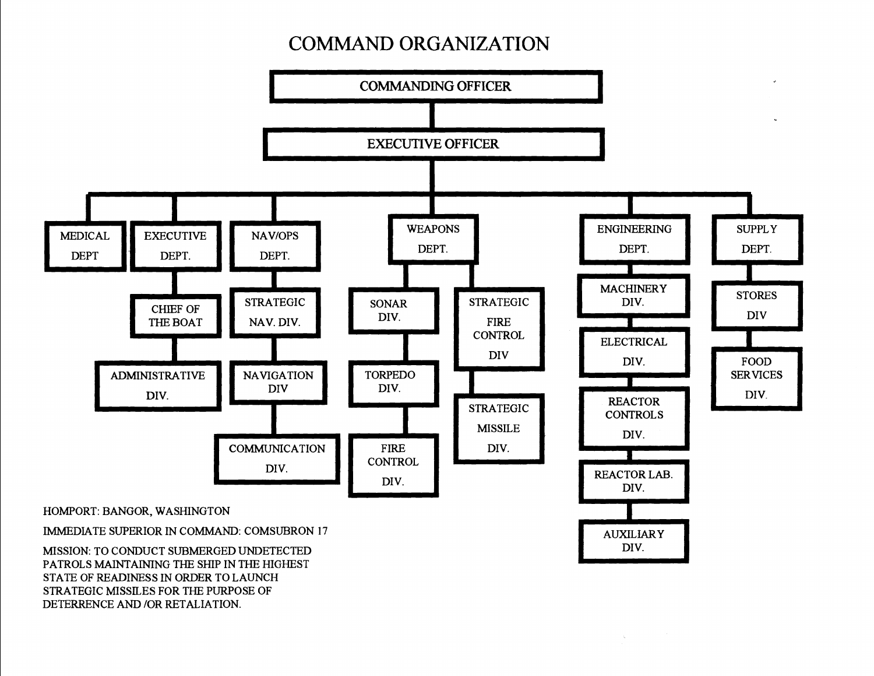## **COMMAND ORGANIZATION**



STATE OF READINESS IN ORDER TO LAUNCH STRATEGIC MISSILES FOR THE PURPOSE OF DETERRENCE AND /OR RETALIATION.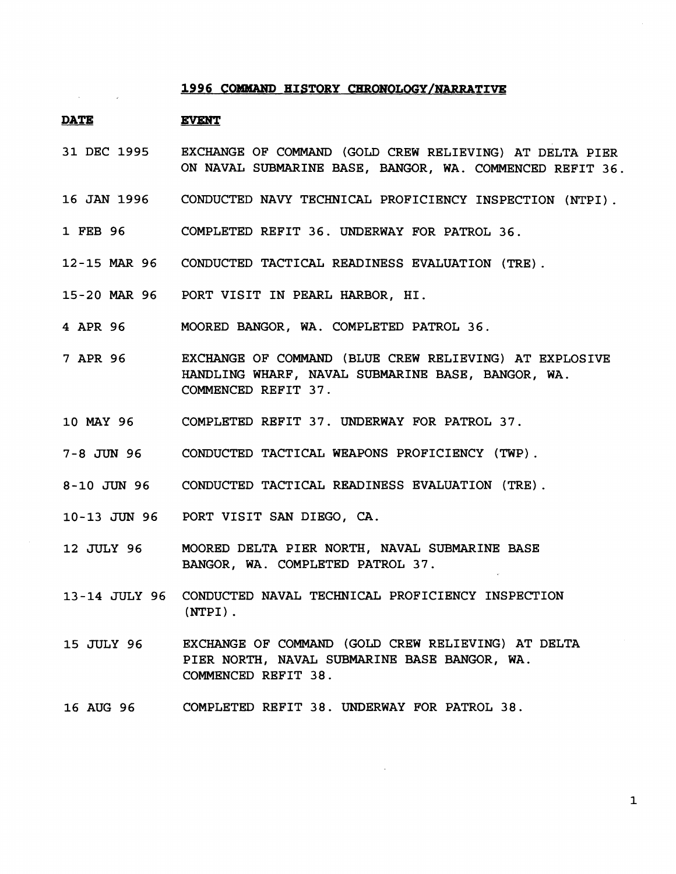## **1996 COMMAND HISTORY CHRONOLOGY/NARRATIVE**

- **PATE EVENT**
- **31** DEC **1995**  EXCHANGE OF COMMAND (GOLD CREW RELIEVING) AT DELTA PIER ON NAVAL SUBMARINE BASE, BANGOR, WA. COMMENCED REFIT 36.
- **16 JAN 1996**  CONDUCTED NAVY TECHNICAL PROFICIENCY INSPECTION (NTPI) .
- **1** FEB **96**  COMPLETED REFIT **36.** UNDERWAY FOR PATROL **36.**
- **12-15** MAR **96**  CONDUCTED TACTICAL READINESS EVALUATION (TRE) .
- **15-20** MAR **96**  PORT VISIT IN PEARL HARBOR, HI.
- **4** APR **96**  MOORED BANGOR, WA. COMPLETED PATROL **36.**
- **7** APR **96**  EXCHANGE OF COMMAND (BLUE CREW RELIEVING) AT EXPLOSIVE HANDLING WHARF, NAVAL SUBMARINE BASE, BANGOR, WA. COMMENCED REFIT **37.**
- **10** MAY **96**  COMPLETED REFIT **37.** UNDERWAY FOR PATROL **37.**
- **7-8** JUN **96**  CONDUCTED TACTICAL WEAPONS PROFICIENCY (TWP) .
- **8-10** JUN **96**  CONDUCTED TACTICAL READINESS EVALUATION (TRE) .
- **10-13** JUN **96**  PORT VISIT **SAN** DIEGO, CA.
- **12** JULY **96**  MOORED DELTA PIER NORTH, NAVAL SUBMARINE BASE BANGOR, WA. COMPLETED PATROL **37.**
- **13-14** JULY **96**  CONDUCTED NAVAL TECHNICAL PROFICIENCY INSPECTION (NTPI) .
- **15** JULY **96**  EXCHANGE OF COMMAND (COLD CREW RELIEVING) AT DELTA PIER NORTH, NAVAL SUBMARINE BASE BANCOR, WA. COMMENCED REFIT **38.**
- **16** AUG **96**  COMPLETED REFIT **38.** UNDERWAY FOR PATROL **38.**

 $\mathbf{1}$